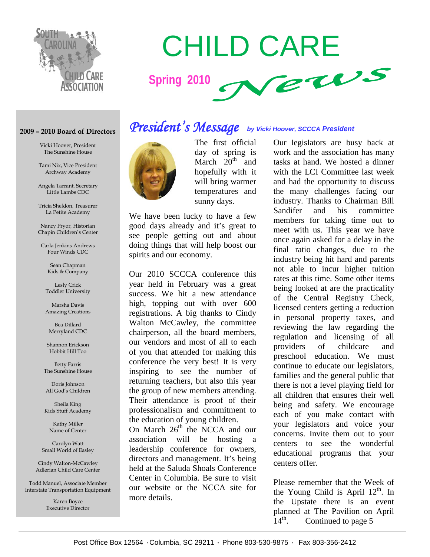

# CHILD CARE **Spring <sup>2010</sup>**

#### **2009 – 2010 Board of Directors**

Vicki Hoover, President The Sunshine House

Tami Nix, Vice President Archway Academy

Angela Tarrant, Secretary Little Lambs CDC

Tricia Sheldon, Treasurer La Petite Academy

Nancy Pryor, Historian Chapin Children's Center

Carla Jenkins Andrews Four Winds CDC

> Sean Chapman Kids & Company

Lesly Crick Toddler University

Marsha Davis Amazing Creations

Bea Dillard Merryland CDC

Shannon Erickson Hobbit Hill Too

Betty Farris The Sunshine House

Doris Johnson All God's Children

Sheila King Kids Stuff Academy

> Kathy Miller Name of Center

Carolyn Watt Small World of Easley

Cindy Walton-McCawley Adlerian Child Care Center

Todd Manuel, Associate Member Interstate Transportation Equipment

> Karen Boyce Executive Director

## *President's Message by Vicki Hoover, SCCCA President*



The first official day of spring is March  $20^{th}$  and hopefully with it will bring warmer temperatures and sunny days.

We have been lucky to have a few good days already and it's great to see people getting out and about doing things that will help boost our spirits and our economy.

Our 2010 SCCCA conference this year held in February was a great success. We hit a new attendance high, topping out with over 600 registrations. A big thanks to Cindy Walton McCawley, the committee chairperson, all the board members, our vendors and most of all to each of you that attended for making this conference the very best! It is very inspiring to see the number of returning teachers, but also this year the group of new members attending. Their attendance is proof of their professionalism and commitment to the education of young children.

On March  $26<sup>th</sup>$  the NCCA and our association will be hosting a leadership conference for owners, directors and management. It's being held at the Saluda Shoals Conference Center in Columbia. Be sure to visit our website or the NCCA site for more details.

Our legislators are busy back at work and the association has many tasks at hand. We hosted a dinner with the LCI Committee last week and had the opportunity to discuss the many challenges facing our industry. Thanks to Chairman Bill Sandifer and his committee members for taking time out to meet with us. This year we have once again asked for a delay in the final ratio changes, due to the industry being hit hard and parents not able to incur higher tuition rates at this time. Some other items being looked at are the practicality of the Central Registry Check, licensed centers getting a reduction in personal property taxes, and reviewing the law regarding the regulation and licensing of all providers of childcare and preschool education. We must continue to educate our legislators, families and the general public that there is not a level playing field for all children that ensures their well being and safety. We encourage each of you make contact with your legislators and voice your concerns. Invite them out to your centers to see the wonderful educational programs that your centers offer.

Please remember that the Week of the Young Child is April  $12^{th}$ . In the Upstate there is an event planned at The Pavilion on April<br>14<sup>th</sup>. Continued to page 5 Continued to page 5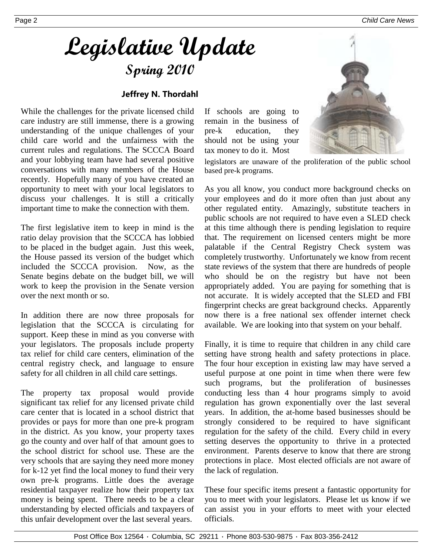## **Legislative Update Spring 2010**

#### **Jeffrey N. Thordahl**

While the challenges for the private licensed child care industry are still immense, there is a growing understanding of the unique challenges of your child care world and the unfairness with the current rules and regulations. The SCCCA Board and your lobbying team have had several positive conversations with many members of the House recently. Hopefully many of you have created an opportunity to meet with your local legislators to discuss your challenges. It is still a critically important time to make the connection with them.

The first legislative item to keep in mind is the ratio delay provision that the SCCCA has lobbied to be placed in the budget again. Just this week, the House passed its version of the budget which included the SCCCA provision. Now, as the Senate begins debate on the budget bill, we will work to keep the provision in the Senate version over the next month or so.

In addition there are now three proposals for legislation that the SCCCA is circulating for support. Keep these in mind as you converse with your legislators. The proposals include property tax relief for child care centers, elimination of the central registry check, and language to ensure safety for all children in all child care settings.

The property tax proposal would provide significant tax relief for any licensed private child care center that is located in a school district that provides or pays for more than one pre-k program in the district. As you know, your property taxes go the county and over half of that amount goes to the school district for school use. These are the very schools that are saying they need more money for k-12 yet find the local money to fund their very own pre-k programs. Little does the average residential taxpayer realize how their property tax money is being spent. There needs to be a clear understanding by elected officials and taxpayers of this unfair development over the last several years.

If schools are going to remain in the business of pre-k education, they should not be using your tax money to do it. Most



As you all know, you conduct more background checks on your employees and do it more often than just about any other regulated entity. Amazingly, substitute teachers in public schools are not required to have even a SLED check at this time although there is pending legislation to require that. The requirement on licensed centers might be more palatable if the Central Registry Check system was completely trustworthy. Unfortunately we know from recent state reviews of the system that there are hundreds of people who should be on the registry but have not been appropriately added. You are paying for something that is not accurate. It is widely accepted that the SLED and FBI fingerprint checks are great background checks. Apparently now there is a free national sex offender internet check available. We are looking into that system on your behalf.

Finally, it is time to require that children in any child care setting have strong health and safety protections in place. The four hour exception in existing law may have served a useful purpose at one point in time when there were few such programs, but the proliferation of businesses conducting less than 4 hour programs simply to avoid regulation has grown exponentially over the last several years. In addition, the at-home based businesses should be strongly considered to be required to have significant regulation for the safety of the child. Every child in every setting deserves the opportunity to thrive in a protected environment. Parents deserve to know that there are strong protections in place. Most elected officials are not aware of the lack of regulation.

These four specific items present a fantastic opportunity for you to meet with your legislators. Please let us know if we can assist you in your efforts to meet with your elected officials.

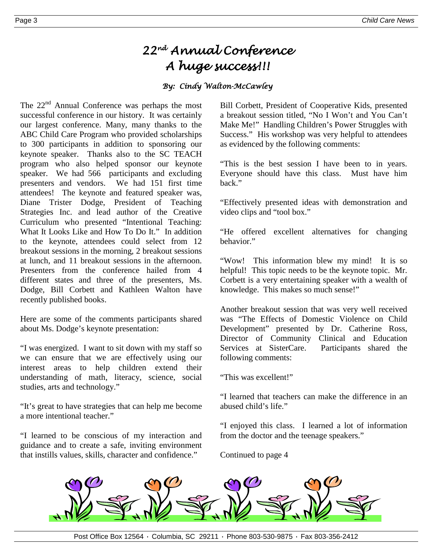## *22nd Annual Conference A huge success!!!*

#### *By: Cindy Walton-McCawley*

The 22<sup>nd</sup> Annual Conference was perhaps the most successful conference in our history. It was certainly our largest conference. Many, many thanks to the ABC Child Care Program who provided scholarships to 300 participants in addition to sponsoring our keynote speaker. Thanks also to the SC TEACH program who also helped sponsor our keynote speaker. We had 566 participants and excluding presenters and vendors. We had 151 first time attendees! The keynote and featured speaker was, Diane Trister Dodge, President of Teaching Strategies Inc. and lead author of the Creative Curriculum who presented "Intentional Teaching: What It Looks Like and How To Do It." In addition to the keynote, attendees could select from 12 breakout sessions in the morning, 2 breakout sessions at lunch, and 11 breakout sessions in the afternoon. Presenters from the conference hailed from 4 different states and three of the presenters, Ms. Dodge, Bill Corbett and Kathleen Walton have recently published books.

Here are some of the comments participants shared about Ms. Dodge's keynote presentation:

"I was energized. I want to sit down with my staff so we can ensure that we are effectively using our interest areas to help children extend their understanding of math, literacy, science, social studies, arts and technology."

"It's great to have strategies that can help me become a more intentional teacher."

"I learned to be conscious of my interaction and guidance and to create a safe, inviting environment that instills values, skills, character and confidence."

Bill Corbett, President of Cooperative Kids, presented a breakout session titled, "No I Won't and You Can't Make Me!" Handling Children's Power Struggles with Success." His workshop was very helpful to attendees as evidenced by the following comments:

"This is the best session I have been to in years. Everyone should have this class. Must have him back."

"Effectively presented ideas with demonstration and video clips and "tool box."

"He offered excellent alternatives for changing behavior."

"Wow! This information blew my mind! It is so helpful! This topic needs to be the keynote topic. Mr. Corbett is a very entertaining speaker with a wealth of knowledge. This makes so much sense!"

Another breakout session that was very well received was "The Effects of Domestic Violence on Child Development" presented by Dr. Catherine Ross, Director of Community Clinical and Education Services at SisterCare. Participants shared the following comments:

"This was excellent!"

"I learned that teachers can make the difference in an abused child's life."

"I enjoyed this class. I learned a lot of information from the doctor and the teenage speakers."

Continued to page 4

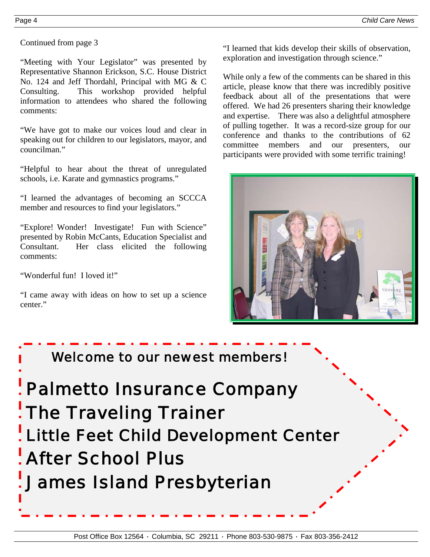#### Continued from page 3

"Meeting with Your Legislator" was presented by Representative Shannon Erickson, S.C. House District No. 124 and Jeff Thordahl, Principal with MG & C Consulting. This workshop provided helpful information to attendees who shared the following comments:

"We have got to make our voices loud and clear in speaking out for children to our legislators, mayor, and councilman."

"Helpful to hear about the threat of unregulated schools, i.e. Karate and gymnastics programs."

"I learned the advantages of becoming an SCCCA member and resources to find your legislators."

"Explore! Wonder! Investigate! Fun with Science" presented by Robin McCants, Education Specialist and Consultant. Her class elicited the following comments:

"Wonderful fun! I loved it!"

 $\overline{\phantom{a}}$ 

"I came away with ideas on how to set up a science center."

"I learned that kids develop their skills of observation, exploration and investigation through science."

While only a few of the comments can be shared in this article, please know that there was incredibly positive feedback about all of the presentations that were offered. We had 26 presenters sharing their knowledge and expertise. There was also a delightful atmosphere of pulling together. It was a record-size group for our conference and thanks to the contributions of 62 committee members and our presenters, our participants were provided with some terrific training!



### Welcome to our newest members!

Palmetto Insurance Company The Traveling Trainer Little Feet Child Development Center After School Plus James Island Presbyterian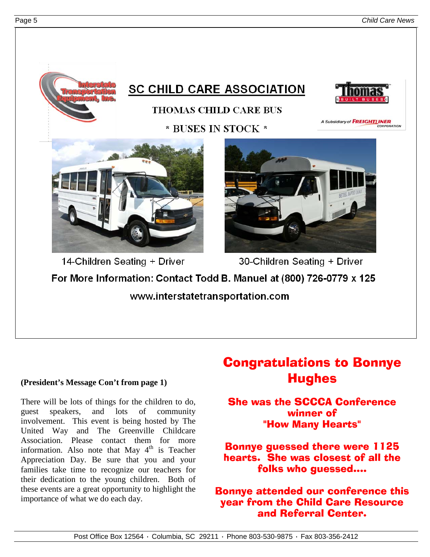

#### **(President's Message Con't from page 1)**

There will be lots of things for the children to do, guest speakers, and lots of community involvement. This event is being hosted by The United Way and The Greenville Childcare Association. Please contact them for more information. Also note that May  $4<sup>th</sup>$  is Teacher Appreciation Day. Be sure that you and your families take time to recognize our teachers for their dedication to the young children. Both of these events are a great opportunity to highlight the importance of what we do each day.

### Congratulations to Bonnye **Hughes**

She was the SCCCA Conference winner of "How Many Hearts"

Bonnye guessed there were 1125 hearts. She was closest of all the folks who guessed....

Bonnye attended our conference this year from the Child Care Resource and Referral Center.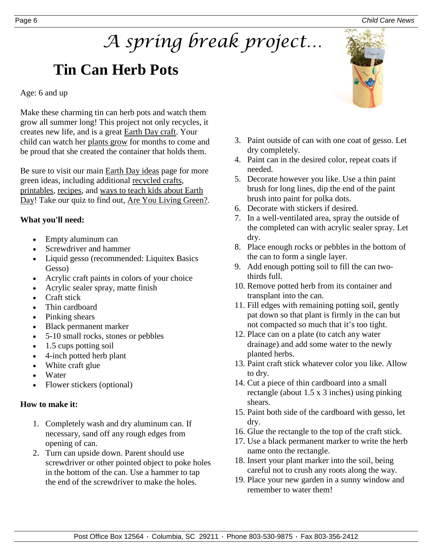#### Page 6 *Child Care News*

## *A spring break project….*

## **Tin Can Herb Pots**

#### Age: 6 and up

Make these charming tin can herb pots and watch them grow all summer long! This project not only recycles, it creates new life, and is a great [Earth Day craft.](http://crafts.kaboose.com/holidays/earth-day/earth_day_crafts.html) Your child can watch her [plants grow](http://crafts.kaboose.com/holidays/earth-day/plants/) for months to come and be proud that she created the container that holds them.

Be sure to visit our main [Earth Day ideas](http://holidays.kaboose.com/earth-day/) page for more green ideas, including additional [recycled crafts,](http://crafts.kaboose.com/holidays/earth-day/recycling-or-reusing-materials-to-make-new-crafts.html) [printables,](http://holidays.kaboose.com/earthday-printables.html) [recipes,](http://holidays.kaboose.com/earth-day/earth-day-recipes.html) and [ways to teach kids about Earth](http://holidays.kaboose.com/earth-day/earth-day-guide.html)  [Day!](http://holidays.kaboose.com/earth-day/earth-day-guide.html) Take our quiz to find out, Are You [Living Green?.](http://just-for-mom.quiz.kaboose.com/30-are-you-living-green)

#### **What you'll need:**

- Empty aluminum can
- Screwdriver and hammer
- Liquid gesso (recommended: Liquitex Basics Gesso)
- Acrylic craft paints in colors of your choice
- Acrylic sealer spray, matte finish
- Craft stick
- Thin cardboard
- Pinking shears
- Black permanent marker
- 5-10 small rocks, stones or pebbles
- 1.5 cups potting soil
- 4-inch potted herb plant
- White craft glue
- **Water**
- Flower stickers (optional)

#### **How to make it:**

- 1. Completely wash and dry aluminum can. If necessary, sand off any rough edges from opening of can.
- 2. Turn can upside down. Parent should use screwdriver or other pointed object to poke holes in the bottom of the can. Use a hammer to tap the end of the screwdriver to make the holes.



- 3. Paint outside of can with one coat of gesso. Let dry completely.
- 4. Paint can in the desired color, repeat coats if needed.
- 5. Decorate however you like. Use a thin paint brush for long lines, dip the end of the paint brush into paint for polka dots.
- 6. Decorate with stickers if desired.
- 7. In a well-ventilated area, spray the outside of the completed can with acrylic sealer spray. Let dry.
- 8. Place enough rocks or pebbles in the bottom of the can to form a single layer.
- 9. Add enough potting soil to fill the can twothirds full.
- 10. Remove potted herb from its container and transplant into the can.
- 11. Fill edges with remaining potting soil, gently pat down so that plant is firmly in the can but not compacted so much that it's too tight.
- 12. Place can on a plate (to catch any water drainage) and add some water to the newly planted herbs.
- 13. Paint craft stick whatever color you like. Allow to dry.
- 14. Cut a piece of thin cardboard into a small rectangle (about 1.5 x 3 inches) using pinking shears.
- 15. Paint both side of the cardboard with gesso, let dry.
- 16. Glue the rectangle to the top of the craft stick.
- 17. Use a black permanent marker to write the herb name onto the rectangle.
- 18. Insert your plant marker into the soil, being careful not to crush any roots along the way.
- 19. Place your new garden in a sunny window and remember to water them!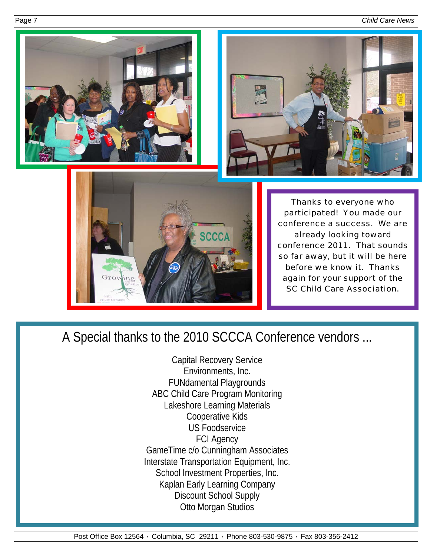Page 7 *Child Care News*







Thanks to everyone who participated! You made our conference a success. We are already looking toward conference 2011. That sounds so far away, but it will be here before we know it. Thanks again for your support of the SC Child Care Association.

## A Special thanks to the 2010 SCCCA Conference vendors ...

Capital Recovery Service Environments, Inc. FUNdamental Playgrounds ABC Child Care Program Monitoring Lakeshore Learning Materials Cooperative Kids US Foodservice FCI Agency GameTime c/o Cunningham Associates Interstate Transportation Equipment, Inc. School Investment Properties, Inc. Kaplan Early Learning Company Discount School Supply Otto Morgan Studios